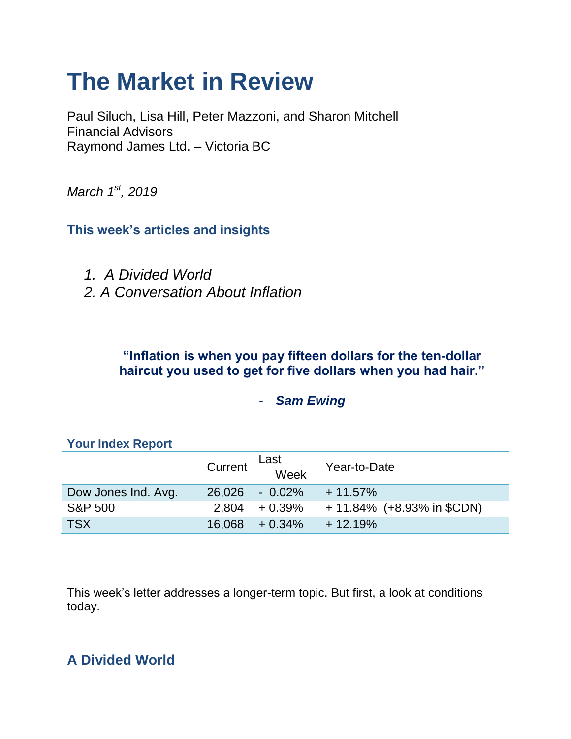# **The Market in Review**

Paul Siluch, Lisa Hill, Peter Mazzoni, and Sharon Mitchell Financial Advisors Raymond James Ltd. – Victoria BC

*March 1st, 2019*

**This week's articles and insights**

- *1. A Divided World*
- *2. A Conversation About Inflation*

# **"Inflation is when you pay fifteen dollars for the ten-dollar haircut you used to get for five dollars when you had hair."**

# - *Sam Ewing*

|                     | Current | Last<br>Week      | Year-to-Date                  |  |  |
|---------------------|---------|-------------------|-------------------------------|--|--|
| Dow Jones Ind. Avg. |         | 26,026 - 0.02%    | $+11.57\%$                    |  |  |
| <b>S&amp;P 500</b>  |         | $2,804 + 0.39\%$  | $+ 11.84\%$ (+8.93% in \$CDN) |  |  |
| <b>TSX</b>          |         | $16.068 + 0.34\%$ | $+12.19%$                     |  |  |

### **Your Index Report**

This week's letter addresses a longer-term topic. But first, a look at conditions today.

# **A Divided World**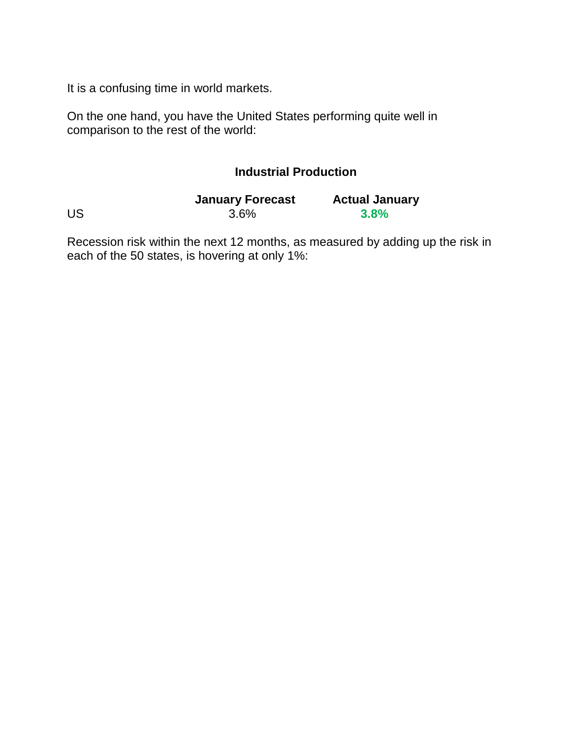It is a confusing time in world markets.

On the one hand, you have the United States performing quite well in comparison to the rest of the world:

## **Industrial Production**

|    | <b>January Forecast</b> | <b>Actual January</b> |
|----|-------------------------|-----------------------|
| US | 3.6%                    | 3.8%                  |

Recession risk within the next 12 months, as measured by adding up the risk in each of the 50 states, is hovering at only 1%: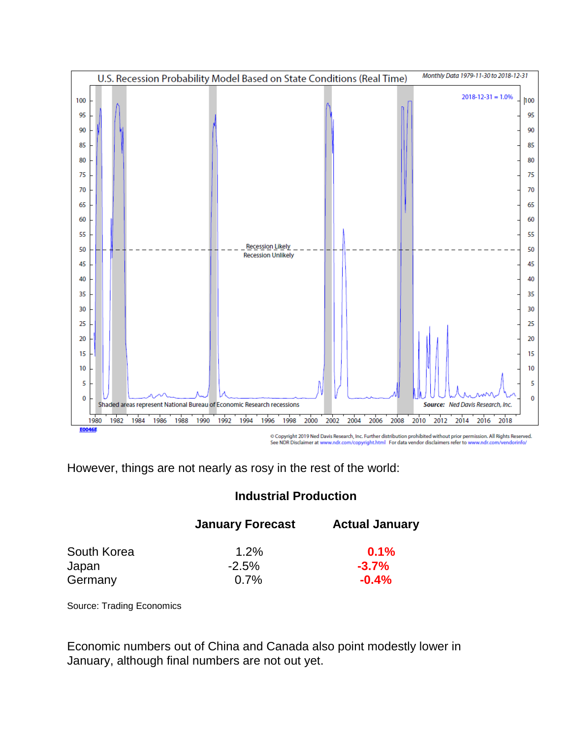

See NDR Disclaimer at www.ndr.com/copyright.html For data vendor disclaimers refer to www.ndr.com/ andorinfo/

However, things are not nearly as rosy in the rest of the world:

### **Industrial Production**

|             | <b>January Forecast</b> | <b>Actual January</b> |
|-------------|-------------------------|-----------------------|
| South Korea | $1.2\%$                 | 0.1%                  |
| Japan       | $-2.5%$                 | $-3.7%$               |
| Germany     | 0.7%                    | $-0.4\%$              |

Source: Trading Economics

Economic numbers out of China and Canada also point modestly lower in January, although final numbers are not out yet.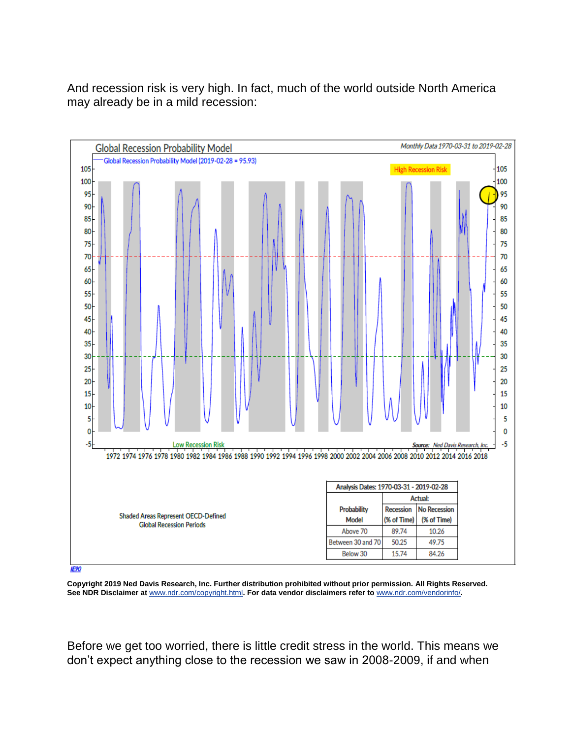And recession risk is very high. In fact, much of the world outside North America may already be in a mild recession:



**IF90** 

**Copyright 2019 Ned Davis Research, Inc. Further distribution prohibited without prior permission. All Rights Reserved. See NDR Disclaimer at** [www.ndr.com/copyright.html](https://urldefense.proofpoint.com/v2/url?u=http-3A__www.ndr.com_copyright.html&d=DwMF-g&c=K3dQCUGiI1B95NJ6cl3GoyhMW2dvBOfimZA-83UXll0&r=_6MBBSGYsFznIBwslhTiqBKEz4pHUCTd_9tbh_EpUMY&m=nyQvj3vzEZ2v5E43Jy1KppI09ejQVJH4Y2Zfg974Fj8&s=IQN_y2kOW0nYgGuH9zRTHYOBRpfSJ6heyleTnQTRakk&e=)**. For data vendor disclaimers refer to** [www.ndr.com/vendorinfo/](https://urldefense.proofpoint.com/v2/url?u=http-3A__www.ndr.com_vendorinfo_&d=DwMF-g&c=K3dQCUGiI1B95NJ6cl3GoyhMW2dvBOfimZA-83UXll0&r=_6MBBSGYsFznIBwslhTiqBKEz4pHUCTd_9tbh_EpUMY&m=nyQvj3vzEZ2v5E43Jy1KppI09ejQVJH4Y2Zfg974Fj8&s=AwZm-i6cMyKu39PkUXoqO9ANJPCg2XXoVVo0owptFvg&e=)**.**

Before we get too worried, there is little credit stress in the world. This means we don't expect anything close to the recession we saw in 2008-2009, if and when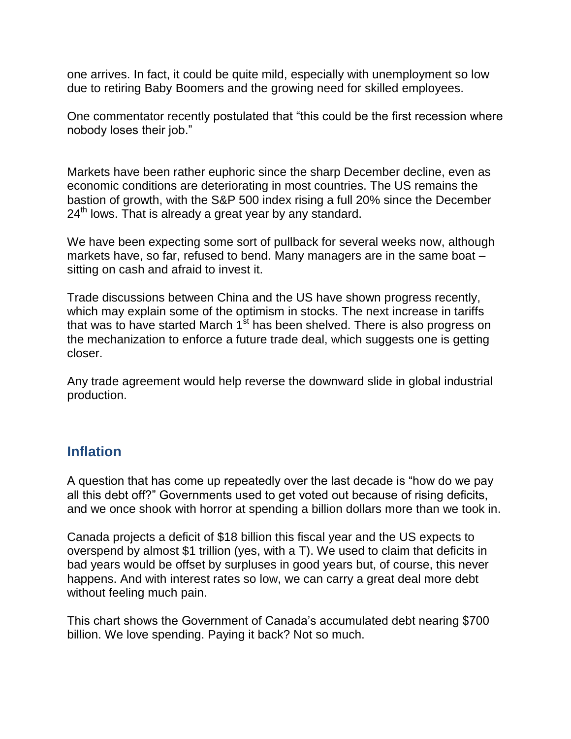one arrives. In fact, it could be quite mild, especially with unemployment so low due to retiring Baby Boomers and the growing need for skilled employees.

One commentator recently postulated that "this could be the first recession where nobody loses their job."

Markets have been rather euphoric since the sharp December decline, even as economic conditions are deteriorating in most countries. The US remains the bastion of growth, with the S&P 500 index rising a full 20% since the December  $24<sup>th</sup>$  lows. That is already a great year by any standard.

We have been expecting some sort of pullback for several weeks now, although markets have, so far, refused to bend. Many managers are in the same boat – sitting on cash and afraid to invest it.

Trade discussions between China and the US have shown progress recently, which may explain some of the optimism in stocks. The next increase in tariffs that was to have started March 1<sup>st</sup> has been shelved. There is also progress on the mechanization to enforce a future trade deal, which suggests one is getting closer.

Any trade agreement would help reverse the downward slide in global industrial production.

# **Inflation**

A question that has come up repeatedly over the last decade is "how do we pay all this debt off?" Governments used to get voted out because of rising deficits, and we once shook with horror at spending a billion dollars more than we took in.

Canada projects a deficit of \$18 billion this fiscal year and the US expects to overspend by almost \$1 trillion (yes, with a T). We used to claim that deficits in bad years would be offset by surpluses in good years but, of course, this never happens. And with interest rates so low, we can carry a great deal more debt without feeling much pain.

This chart shows the Government of Canada's accumulated debt nearing \$700 billion. We love spending. Paying it back? Not so much.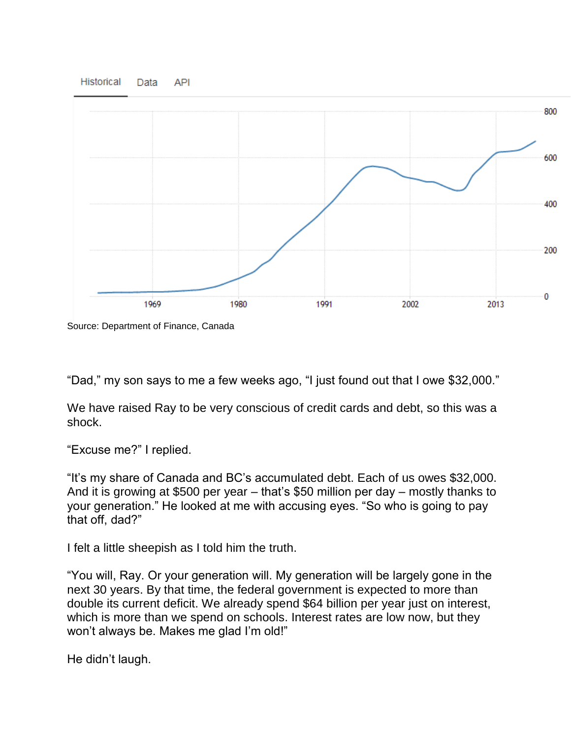

Source: Department of Finance, Canada

"Dad," my son says to me a few weeks ago, "I just found out that I owe \$32,000."

We have raised Ray to be very conscious of credit cards and debt, so this was a shock.

"Excuse me?" I replied.

"It's my share of Canada and BC's accumulated debt. Each of us owes \$32,000. And it is growing at \$500 per year – that's \$50 million per day – mostly thanks to your generation." He looked at me with accusing eyes. "So who is going to pay that off, dad?"

I felt a little sheepish as I told him the truth.

"You will, Ray. Or your generation will. My generation will be largely gone in the next 30 years. By that time, the federal government is expected to more than double its current deficit. We already spend \$64 billion per year just on interest, which is more than we spend on schools. Interest rates are low now, but they won't always be. Makes me glad I'm old!"

He didn't laugh.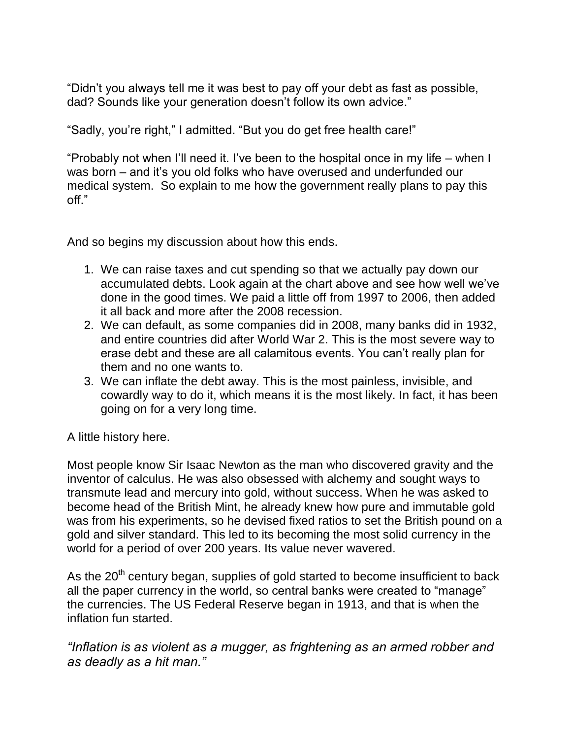"Didn't you always tell me it was best to pay off your debt as fast as possible, dad? Sounds like your generation doesn't follow its own advice."

"Sadly, you're right," I admitted. "But you do get free health care!"

"Probably not when I'll need it. I've been to the hospital once in my life – when I was born – and it's you old folks who have overused and underfunded our medical system. So explain to me how the government really plans to pay this off."

And so begins my discussion about how this ends.

- 1. We can raise taxes and cut spending so that we actually pay down our accumulated debts. Look again at the chart above and see how well we've done in the good times. We paid a little off from 1997 to 2006, then added it all back and more after the 2008 recession.
- 2. We can default, as some companies did in 2008, many banks did in 1932, and entire countries did after World War 2. This is the most severe way to erase debt and these are all calamitous events. You can't really plan for them and no one wants to.
- 3. We can inflate the debt away. This is the most painless, invisible, and cowardly way to do it, which means it is the most likely. In fact, it has been going on for a very long time.

A little history here.

Most people know Sir Isaac Newton as the man who discovered gravity and the inventor of calculus. He was also obsessed with alchemy and sought ways to transmute lead and mercury into gold, without success. When he was asked to become head of the British Mint, he already knew how pure and immutable gold was from his experiments, so he devised fixed ratios to set the British pound on a gold and silver standard. This led to its becoming the most solid currency in the world for a period of over 200 years. Its value never wavered.

As the  $20<sup>th</sup>$  century began, supplies of gold started to become insufficient to back all the paper currency in the world, so central banks were created to "manage" the currencies. The US Federal Reserve began in 1913, and that is when the inflation fun started.

*"Inflation is as violent as a mugger, as frightening as an armed robber and as deadly as a hit man."*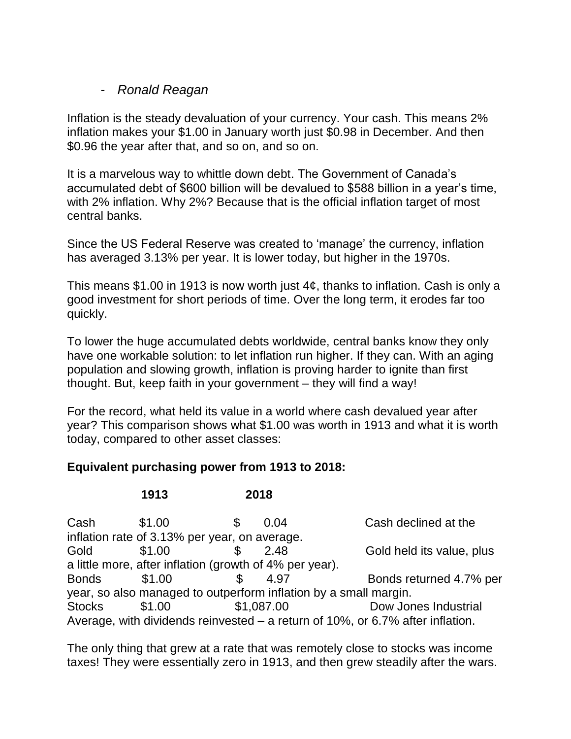#### - *Ronald Reagan*

Inflation is the steady devaluation of your currency. Your cash. This means 2% inflation makes your \$1.00 in January worth just \$0.98 in December. And then \$0.96 the year after that, and so on, and so on.

It is a marvelous way to whittle down debt. The Government of Canada's accumulated debt of \$600 billion will be devalued to \$588 billion in a year's time, with 2% inflation. Why 2%? Because that is the official inflation target of most central banks.

Since the US Federal Reserve was created to 'manage' the currency, inflation has averaged 3.13% per year. It is lower today, but higher in the 1970s.

This means \$1.00 in 1913 is now worth just 4¢, thanks to inflation. Cash is only a good investment for short periods of time. Over the long term, it erodes far too quickly.

To lower the huge accumulated debts worldwide, central banks know they only have one workable solution: to let inflation run higher. If they can. With an aging population and slowing growth, inflation is proving harder to ignite than first thought. But, keep faith in your government – they will find a way!

For the record, what held its value in a world where cash devalued year after year? This comparison shows what \$1.00 was worth in 1913 and what it is worth today, compared to other asset classes:

### **Equivalent purchasing power from 1913 to 2018:**

### **1913 2018**

Cash  $$1.00$   $$0.04$  Cash declined at the inflation rate of 3.13% per year, on average. Gold  $$1.00$   $$2.48$  Gold held its value, plus a little more, after inflation (growth of 4% per year). Bonds \$1.00 \$ 4.97 Bonds returned 4.7% per year, so also managed to outperform inflation by a small margin. Stocks \$1.00 \$1,087.00 Dow Jones Industrial Average, with dividends reinvested – a return of 10%, or 6.7% after inflation.

The only thing that grew at a rate that was remotely close to stocks was income taxes! They were essentially zero in 1913, and then grew steadily after the wars.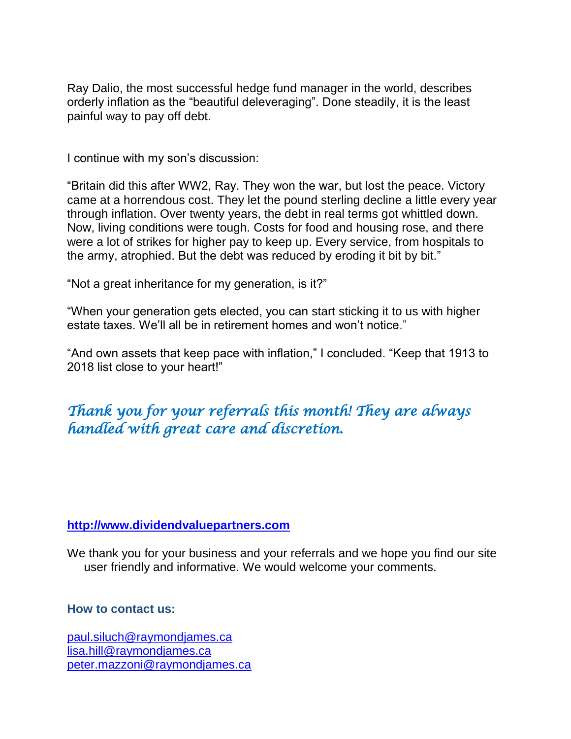Ray Dalio, the most successful hedge fund manager in the world, describes orderly inflation as the "beautiful deleveraging". Done steadily, it is the least painful way to pay off debt.

I continue with my son's discussion:

"Britain did this after WW2, Ray. They won the war, but lost the peace. Victory came at a horrendous cost. They let the pound sterling decline a little every year through inflation. Over twenty years, the debt in real terms got whittled down. Now, living conditions were tough. Costs for food and housing rose, and there were a lot of strikes for higher pay to keep up. Every service, from hospitals to the army, atrophied. But the debt was reduced by eroding it bit by bit."

"Not a great inheritance for my generation, is it?"

"When your generation gets elected, you can start sticking it to us with higher estate taxes. We'll all be in retirement homes and won't notice."

"And own assets that keep pace with inflation," I concluded. "Keep that 1913 to 2018 list close to your heart!"

*Thank you for your referrals this month! They are always handled with great care and discretion.* 

#### **[http://www.dividendvaluepartners.com](https://urldefense.proofpoint.com/v2/url?u=http-3A__www.dividendvaluepartners.com&d=DwMFAw&c=K3dQCUGiI1B95NJ6cl3GoyhMW2dvBOfimZA-83UXll0&r=_6MBBSGYsFznIBwslhTiqBKEz4pHUCTd_9tbh_EpUMY&m=scBAtuMDuWZwK1IVr5YXjdB6aRS-faGHAMq3jOn6sJU&s=enZqe4ZgcjH_33x5dT-vZq9A37d4AhNkXvjc6AbmYww&e=)**

We thank you for your business and your referrals and we hope you find our site user friendly and informative. We would welcome your comments.

#### **How to contact us:**

[paul.siluch@raymondjames.ca](https://owa-kel.raymondjames.ca/owa/redir.aspx?SURL=z0BxOCXDlQ-Aad1f_a9igaARxm5Rd1VXE7UcmD4mZ3IZiacj7DPTCG0AYQBpAGwAdABvADoAcABhAHUAbAAuAHMAaQBsAHUAYwBoAEAAcgBhAHkAbQBvAG4AZABqAGEAbQBlAHMALgBjAGEA&URL=mailto%3apaul.siluch%40raymondjames.ca) [lisa.hill@raymondjames.ca](https://owa-kel.raymondjames.ca/owa/redir.aspx?SURL=glaBgdTdxPMFpiw4eumg-PzZXpo9vJyObrXLs1TKtIAZiacj7DPTCG0AYQBpAGwAdABvADoAbABpAHMAYQAuAGgAaQBsAGwAQAByAGEAeQBtAG8AbgBkAGoAYQBtAGUAcwAuAGMAYQA.&URL=mailto%3alisa.hill%40raymondjames.ca) [peter.mazzoni@raymondjames.ca](https://owa-kel.raymondjames.ca/owa/redir.aspx?SURL=3c7mDL9-cZxYXt7CvkOu20QVFy1WCaDQxUZ3BQE6vecZiacj7DPTCG0AYQBpAGwAdABvADoAcABlAHQAZQByAC4AbQBhAHoAegBvAG4AaQBAAHIAYQB5AG0AbwBuAGQAagBhAG0AZQBzAC4AYwBhAA..&URL=mailto%3apeter.mazzoni%40raymondjames.ca)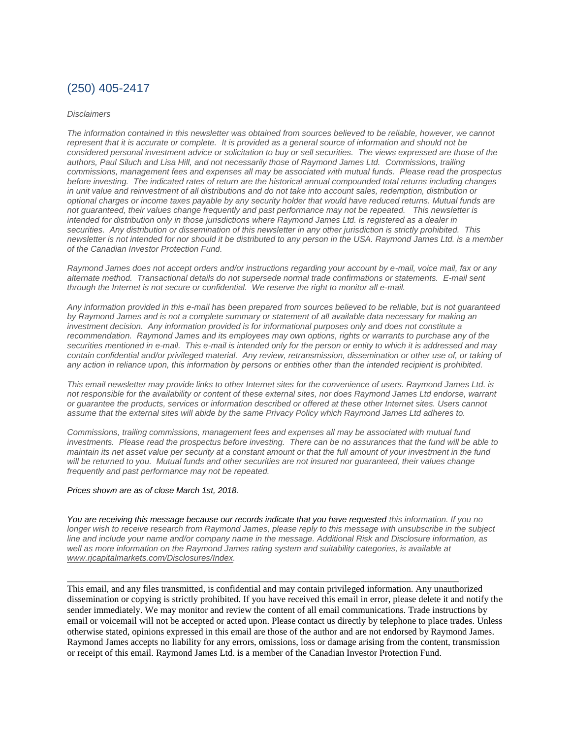### (250) 405-2417

#### *Disclaimers*

*[The information contained in this newsletter was obtained from sources believed to be reliable, however, we cannot](https://owa-kel.raymondjames.ca/owa/redir.aspx?SURL=z0BxOCXDlQ-Aad1f_a9igaARxm5Rd1VXE7UcmD4mZ3IZiacj7DPTCG0AYQBpAGwAdABvADoAcABhAHUAbAAuAHMAaQBsAHUAYwBoAEAAcgBhAHkAbQBvAG4AZABqAGEAbQBlAHMALgBjAGEA&URL=mailto%3apaul.siluch%40raymondjames.ca)  represent that it is accurate or complete. [It is provided as a general source of information and should not be](https://owa-kel.raymondjames.ca/owa/redir.aspx?SURL=z0BxOCXDlQ-Aad1f_a9igaARxm5Rd1VXE7UcmD4mZ3IZiacj7DPTCG0AYQBpAGwAdABvADoAcABhAHUAbAAuAHMAaQBsAHUAYwBoAEAAcgBhAHkAbQBvAG4AZABqAGEAbQBlAHMALgBjAGEA&URL=mailto%3apaul.siluch%40raymondjames.ca)  [considered personal investment advice or solicitation to buy or sell securities.](https://owa-kel.raymondjames.ca/owa/redir.aspx?SURL=z0BxOCXDlQ-Aad1f_a9igaARxm5Rd1VXE7UcmD4mZ3IZiacj7DPTCG0AYQBpAGwAdABvADoAcABhAHUAbAAuAHMAaQBsAHUAYwBoAEAAcgBhAHkAbQBvAG4AZABqAGEAbQBlAHMALgBjAGEA&URL=mailto%3apaul.siluch%40raymondjames.ca) The views expressed are those of the [authors, Paul Siluch and Lisa Hill, and not necessarily those of Raymond James Ltd.](https://owa-kel.raymondjames.ca/owa/redir.aspx?SURL=z0BxOCXDlQ-Aad1f_a9igaARxm5Rd1VXE7UcmD4mZ3IZiacj7DPTCG0AYQBpAGwAdABvADoAcABhAHUAbAAuAHMAaQBsAHUAYwBoAEAAcgBhAHkAbQBvAG4AZABqAGEAbQBlAHMALgBjAGEA&URL=mailto%3apaul.siluch%40raymondjames.ca) Commissions, trailing [commissions, management fees and expenses all may be associated with mutual funds.](https://owa-kel.raymondjames.ca/owa/redir.aspx?SURL=z0BxOCXDlQ-Aad1f_a9igaARxm5Rd1VXE7UcmD4mZ3IZiacj7DPTCG0AYQBpAGwAdABvADoAcABhAHUAbAAuAHMAaQBsAHUAYwBoAEAAcgBhAHkAbQBvAG4AZABqAGEAbQBlAHMALgBjAGEA&URL=mailto%3apaul.siluch%40raymondjames.ca) Please read the prospectus before investing. [The indicated rates of return are the historical annual compounded total returns including changes](https://owa-kel.raymondjames.ca/owa/redir.aspx?SURL=z0BxOCXDlQ-Aad1f_a9igaARxm5Rd1VXE7UcmD4mZ3IZiacj7DPTCG0AYQBpAGwAdABvADoAcABhAHUAbAAuAHMAaQBsAHUAYwBoAEAAcgBhAHkAbQBvAG4AZABqAGEAbQBlAHMALgBjAGEA&URL=mailto%3apaul.siluch%40raymondjames.ca)  [in unit value and reinvestment of all distributions and do not take into account sales, redemption, distribution or](https://owa-kel.raymondjames.ca/owa/redir.aspx?SURL=z0BxOCXDlQ-Aad1f_a9igaARxm5Rd1VXE7UcmD4mZ3IZiacj7DPTCG0AYQBpAGwAdABvADoAcABhAHUAbAAuAHMAaQBsAHUAYwBoAEAAcgBhAHkAbQBvAG4AZABqAGEAbQBlAHMALgBjAGEA&URL=mailto%3apaul.siluch%40raymondjames.ca)  [optional charges or income taxes payable by any security holder that would have reduced returns. Mutual funds are](https://owa-kel.raymondjames.ca/owa/redir.aspx?SURL=z0BxOCXDlQ-Aad1f_a9igaARxm5Rd1VXE7UcmD4mZ3IZiacj7DPTCG0AYQBpAGwAdABvADoAcABhAHUAbAAuAHMAaQBsAHUAYwBoAEAAcgBhAHkAbQBvAG4AZABqAGEAbQBlAHMALgBjAGEA&URL=mailto%3apaul.siluch%40raymondjames.ca)  [not guaranteed, their values change frequently and past performance may not be repeated.](https://owa-kel.raymondjames.ca/owa/redir.aspx?SURL=z0BxOCXDlQ-Aad1f_a9igaARxm5Rd1VXE7UcmD4mZ3IZiacj7DPTCG0AYQBpAGwAdABvADoAcABhAHUAbAAuAHMAaQBsAHUAYwBoAEAAcgBhAHkAbQBvAG4AZABqAGEAbQBlAHMALgBjAGEA&URL=mailto%3apaul.siluch%40raymondjames.ca) This newsletter is [intended for distribution only in those jurisdictions where Raymond James Ltd. is registered as a dealer in](https://owa-kel.raymondjames.ca/owa/redir.aspx?SURL=z0BxOCXDlQ-Aad1f_a9igaARxm5Rd1VXE7UcmD4mZ3IZiacj7DPTCG0AYQBpAGwAdABvADoAcABhAHUAbAAuAHMAaQBsAHUAYwBoAEAAcgBhAHkAbQBvAG4AZABqAGEAbQBlAHMALgBjAGEA&URL=mailto%3apaul.siluch%40raymondjames.ca)  securities. [Any distribution or dissemination of this newsletter in any other jurisdiction is strictly prohibited.](https://owa-kel.raymondjames.ca/owa/redir.aspx?SURL=z0BxOCXDlQ-Aad1f_a9igaARxm5Rd1VXE7UcmD4mZ3IZiacj7DPTCG0AYQBpAGwAdABvADoAcABhAHUAbAAuAHMAaQBsAHUAYwBoAEAAcgBhAHkAbQBvAG4AZABqAGEAbQBlAHMALgBjAGEA&URL=mailto%3apaul.siluch%40raymondjames.ca) This [newsletter is not intended for nor should it be distributed to any person in the USA. Raymond James Ltd. is a member](https://owa-kel.raymondjames.ca/owa/redir.aspx?SURL=z0BxOCXDlQ-Aad1f_a9igaARxm5Rd1VXE7UcmD4mZ3IZiacj7DPTCG0AYQBpAGwAdABvADoAcABhAHUAbAAuAHMAaQBsAHUAYwBoAEAAcgBhAHkAbQBvAG4AZABqAGEAbQBlAHMALgBjAGEA&URL=mailto%3apaul.siluch%40raymondjames.ca)  [of the Canadian Investor Protection Fund.](https://owa-kel.raymondjames.ca/owa/redir.aspx?SURL=z0BxOCXDlQ-Aad1f_a9igaARxm5Rd1VXE7UcmD4mZ3IZiacj7DPTCG0AYQBpAGwAdABvADoAcABhAHUAbAAuAHMAaQBsAHUAYwBoAEAAcgBhAHkAbQBvAG4AZABqAGEAbQBlAHMALgBjAGEA&URL=mailto%3apaul.siluch%40raymondjames.ca)* 

*Raymond James [does not accept orders and/or instructions regarding your account by e-mail, voice mail, fax or any](https://owa-kel.raymondjames.ca/owa/redir.aspx?SURL=z0BxOCXDlQ-Aad1f_a9igaARxm5Rd1VXE7UcmD4mZ3IZiacj7DPTCG0AYQBpAGwAdABvADoAcABhAHUAbAAuAHMAaQBsAHUAYwBoAEAAcgBhAHkAbQBvAG4AZABqAGEAbQBlAHMALgBjAGEA&URL=mailto%3apaul.siluch%40raymondjames.ca)  alternate method. [Transactional details do not supersede normal trade confirmations or statements.](https://owa-kel.raymondjames.ca/owa/redir.aspx?SURL=z0BxOCXDlQ-Aad1f_a9igaARxm5Rd1VXE7UcmD4mZ3IZiacj7DPTCG0AYQBpAGwAdABvADoAcABhAHUAbAAuAHMAaQBsAHUAYwBoAEAAcgBhAHkAbQBvAG4AZABqAGEAbQBlAHMALgBjAGEA&URL=mailto%3apaul.siluch%40raymondjames.ca) E-mail sent [through the Internet is not secure or confidential.](https://owa-kel.raymondjames.ca/owa/redir.aspx?SURL=z0BxOCXDlQ-Aad1f_a9igaARxm5Rd1VXE7UcmD4mZ3IZiacj7DPTCG0AYQBpAGwAdABvADoAcABhAHUAbAAuAHMAaQBsAHUAYwBoAEAAcgBhAHkAbQBvAG4AZABqAGEAbQBlAHMALgBjAGEA&URL=mailto%3apaul.siluch%40raymondjames.ca) We reserve the right to monitor all e-mail.*

*[Any information provided in this e-mail has been prepared from sources believed to be reliable, but is not guaranteed](https://owa-kel.raymondjames.ca/owa/redir.aspx?SURL=z0BxOCXDlQ-Aad1f_a9igaARxm5Rd1VXE7UcmD4mZ3IZiacj7DPTCG0AYQBpAGwAdABvADoAcABhAHUAbAAuAHMAaQBsAHUAYwBoAEAAcgBhAHkAbQBvAG4AZABqAGEAbQBlAHMALgBjAGEA&URL=mailto%3apaul.siluch%40raymondjames.ca)  by Raymond James [and is not a complete summary or statement of all available data necessary for making an](https://owa-kel.raymondjames.ca/owa/redir.aspx?SURL=z0BxOCXDlQ-Aad1f_a9igaARxm5Rd1VXE7UcmD4mZ3IZiacj7DPTCG0AYQBpAGwAdABvADoAcABhAHUAbAAuAHMAaQBsAHUAYwBoAEAAcgBhAHkAbQBvAG4AZABqAGEAbQBlAHMALgBjAGEA&URL=mailto%3apaul.siluch%40raymondjames.ca)  investment decision. [Any information provided is for informational purposes only and does not constitute a](https://owa-kel.raymondjames.ca/owa/redir.aspx?SURL=z0BxOCXDlQ-Aad1f_a9igaARxm5Rd1VXE7UcmD4mZ3IZiacj7DPTCG0AYQBpAGwAdABvADoAcABhAHUAbAAuAHMAaQBsAHUAYwBoAEAAcgBhAHkAbQBvAG4AZABqAGEAbQBlAHMALgBjAGEA&URL=mailto%3apaul.siluch%40raymondjames.ca)  recommendation. Raymond James [and its employees may own options, rights or warrants to purchase any of the](https://owa-kel.raymondjames.ca/owa/redir.aspx?SURL=z0BxOCXDlQ-Aad1f_a9igaARxm5Rd1VXE7UcmD4mZ3IZiacj7DPTCG0AYQBpAGwAdABvADoAcABhAHUAbAAuAHMAaQBsAHUAYwBoAEAAcgBhAHkAbQBvAG4AZABqAGEAbQBlAHMALgBjAGEA&URL=mailto%3apaul.siluch%40raymondjames.ca)  securities mentioned in e-mail. [This e-mail is intended only for the person or entity to which it is addressed and may](https://owa-kel.raymondjames.ca/owa/redir.aspx?SURL=z0BxOCXDlQ-Aad1f_a9igaARxm5Rd1VXE7UcmD4mZ3IZiacj7DPTCG0AYQBpAGwAdABvADoAcABhAHUAbAAuAHMAaQBsAHUAYwBoAEAAcgBhAHkAbQBvAG4AZABqAGEAbQBlAHMALgBjAGEA&URL=mailto%3apaul.siluch%40raymondjames.ca)  contain confidential and/or privileged material. [Any review, retransmission, dissemination or other use of, or taking of](https://owa-kel.raymondjames.ca/owa/redir.aspx?SURL=z0BxOCXDlQ-Aad1f_a9igaARxm5Rd1VXE7UcmD4mZ3IZiacj7DPTCG0AYQBpAGwAdABvADoAcABhAHUAbAAuAHMAaQBsAHUAYwBoAEAAcgBhAHkAbQBvAG4AZABqAGEAbQBlAHMALgBjAGEA&URL=mailto%3apaul.siluch%40raymondjames.ca)  [any action in reliance upon, this information by persons or entities other than the intended recipient is prohibited.](https://owa-kel.raymondjames.ca/owa/redir.aspx?SURL=z0BxOCXDlQ-Aad1f_a9igaARxm5Rd1VXE7UcmD4mZ3IZiacj7DPTCG0AYQBpAGwAdABvADoAcABhAHUAbAAuAHMAaQBsAHUAYwBoAEAAcgBhAHkAbQBvAG4AZABqAGEAbQBlAHMALgBjAGEA&URL=mailto%3apaul.siluch%40raymondjames.ca)*

*This email newsletter may provide links to other Internet sites for the convenience of users. Raymond James Ltd. is not responsible for the availability or content of these external sites, nor does Raymond James Ltd endorse, warrant or guarantee the products, services or information described or offered at these other Internet sites. Users cannot assume that the external sites will abide by the same Privacy Policy which Raymond James Ltd adheres to.*

*Commissions, trailing commissions, management fees and expenses all may be associated with mutual fund investments. Please read the prospectus before investing. There can be no assurances that the fund will be able to maintain its net asset value per security at a constant amount or that the full amount of your investment in the fund will be returned to you. Mutual funds and other securities are not insured nor guaranteed, their values change frequently and past performance may not be repeated.*

#### *Prices shown are [as of close March 1st, 2018.](https://owa-kel.raymondjames.ca/owa/redir.aspx?SURL=z0BxOCXDlQ-Aad1f_a9igaARxm5Rd1VXE7UcmD4mZ3IZiacj7DPTCG0AYQBpAGwAdABvADoAcABhAHUAbAAuAHMAaQBsAHUAYwBoAEAAcgBhAHkAbQBvAG4AZABqAGEAbQBlAHMALgBjAGEA&URL=mailto%3apaul.siluch%40raymondjames.ca)*

*You are receiving this message because our records indicate that you have requested this information. If you no longer wish to receive research from Raymond James, please reply to this message with unsubscribe in the subject line and include your name and/or company name in the message. Additional Risk and Disclosure information, as*  well as more information on the Raymond James rating system and suitability categories, is available at *[www.rjcapitalmarkets.com/Disclosures/Index.](https://owa-kel.raymondjames.ca/owa/redir.aspx?SURL=xhOB4gpVfLOskwdkUL9L2f18Fq4IG2rgvMfuIIX7BlwZiacj7DPTCGgAdAB0AHAAOgAvAC8AdwB3AHcALgByAGoAYwBhAHAAaQB0AGEAbABtAGEAcgBrAGUAdABzAC4AYwBvAG0ALwBEAGkAcwBjAGwAbwBzAHUAcgBlAHMALwBJAG4AZABlAHgA&URL=http%3a%2f%2fwww.rjcapitalmarkets.com%2fDisclosures%2fIndex)*

\_\_\_\_\_\_\_\_\_\_\_\_\_\_\_\_\_\_\_\_\_\_\_\_\_\_\_\_\_\_\_\_\_\_\_\_\_\_\_\_\_\_\_\_\_\_\_\_\_\_\_\_\_\_\_\_\_\_\_\_\_\_\_\_\_\_\_\_\_\_\_\_\_\_\_\_\_\_\_\_\_\_\_\_

This email, and any files transmitted, is confidential and may contain privileged information. Any unauthorized dissemination or copying is strictly prohibited. If you have received this email in error, please delete it and notify the sender immediately. We may monitor and review the content of all email communications. Trade instructions by email or voicemail will not be accepted or acted upon. Please contact us directly by telephone to place trades. Unless otherwise stated, opinions expressed in this email are those of the author and are not endorsed by Raymond James. Raymond James accepts no liability for any errors, omissions, loss or damage arising from the content, transmission or receipt of this email. Raymond James Ltd. is a member of the Canadian Investor Protection Fund.